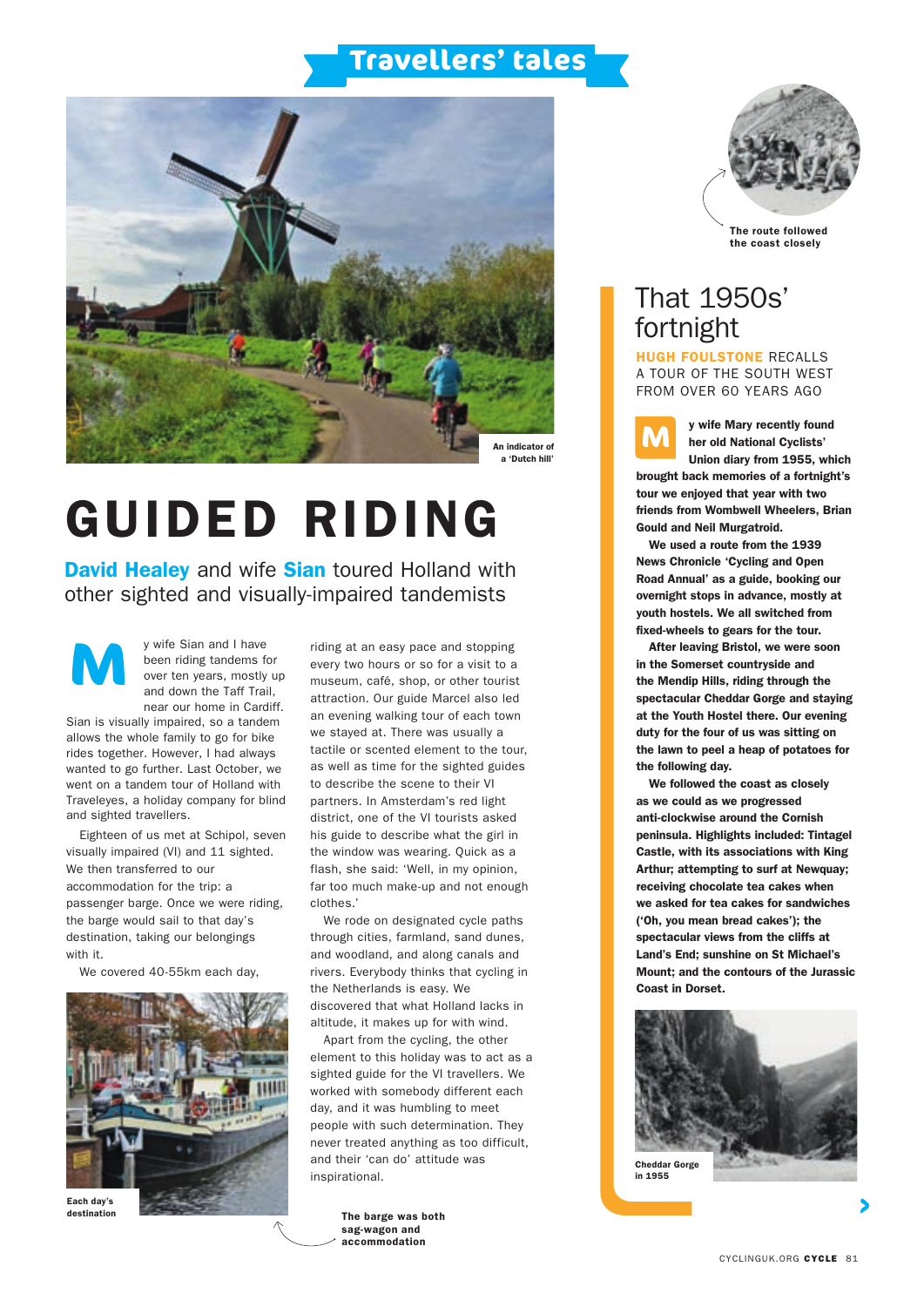### **Travellers' tales**



# GUIDED RIDING

**David Healey** and wife **Sian** toured Holland with other sighted and visually-impaired tandemists

y wife Sian and I have been riding tandems for over ten years, mostly up and down the Taff Trail, near our home in Cardiff. **M**

Sian is visually impaired, so a tandem allows the whole family to go for bike rides together. However, I had always wanted to go further. Last October, we went on a tandem tour of Holland with Traveleyes, a holiday company for blind and sighted travellers.

Eighteen of us met at Schipol, seven visually impaired (VI) and 11 sighted. We then transferred to our accommodation for the trip: a passenger barge. Once we were riding, the barge would sail to that day's destination, taking our belongings with it.

We covered 40-55km each day,



destination

riding at an easy pace and stopping every two hours or so for a visit to a museum, café, shop, or other tourist attraction. Our guide Marcel also led an evening walking tour of each town we stayed at. There was usually a tactile or scented element to the tour, as well as time for the sighted guides to describe the scene to their VI partners. In Amsterdam's red light district, one of the VI tourists asked his guide to describe what the girl in the window was wearing. Quick as a flash, she said: 'Well, in my opinion, far too much make-up and not enough clothes.'

We rode on designated cycle paths through cities, farmland, sand dunes, and woodland, and along canals and rivers. Everybody thinks that cycling in the Netherlands is easy. We discovered that what Holland lacks in altitude, it makes up for with wind.

Apart from the cycling, the other element to this holiday was to act as a sighted guide for the VI travellers. We worked with somebody different each day, and it was humbling to meet people with such determination. They never treated anything as too difficult, and their 'can do' attitude was inspirational.

> The barge was both sag-wagon and accommodation



The route followed the coast closely

### That 1950s' fortnight

HUGH FOULSTONE RECALLS A TOUR OF THE SOUTH WEST FROM OVER 60 YEARS AGO



y wife Mary recently found her old National Cyclists' Union diary from 1955, which

brought back memories of a fortnight's tour we enjoyed that year with two friends from Wombwell Wheelers, Brian Gould and Neil Murgatroid.

We used a route from the 1939 News Chronicle 'Cycling and Open Road Annual' as a guide, booking our overnight stops in advance, mostly at youth hostels. We all switched from fixed-wheels to gears for the tour.

After leaving Bristol, we were soon in the Somerset countryside and the Mendip Hills, riding through the spectacular Cheddar Gorge and staying at the Youth Hostel there. Our evening duty for the four of us was sitting on the lawn to peel a heap of potatoes for the following day.

We followed the coast as closely as we could as we progressed anti-clockwise around the Cornish peninsula. Highlights included: Tintagel Castle, with its associations with King Arthur; attempting to surf at Newquay; receiving chocolate tea cakes when we asked for tea cakes for sandwiches ('Oh, you mean bread cakes'); the spectacular views from the cliffs at Land's End; sunshine on St Michael's Mount; and the contours of the Jurassic Coast in Dorset.



in 1955